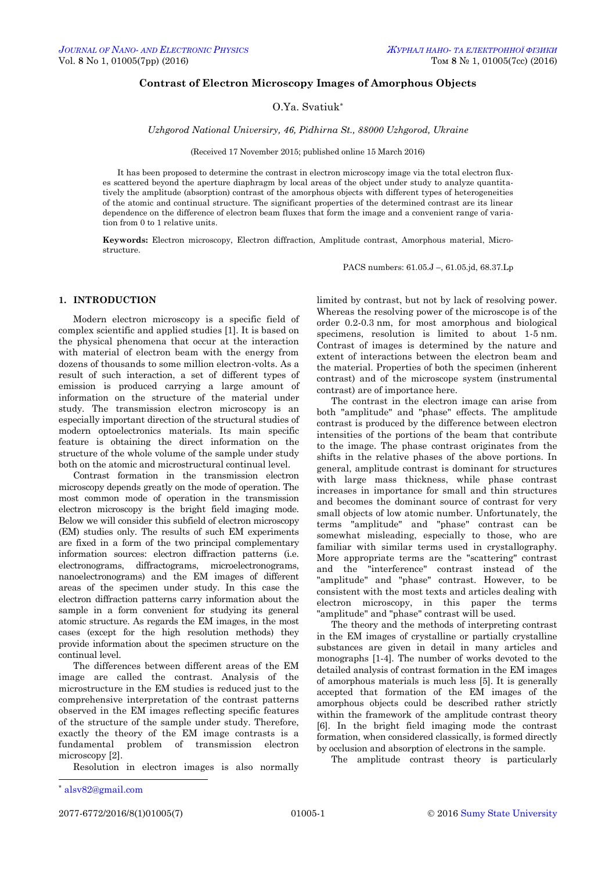## **Contrast of Electron Microscopy Images of Amorphous Objects**

# O.Ya. Svatiuk\*

*Uzhgorod National Universiry, 46, Pidhirna St., 88000 Uzhgorod, Ukraine*

(Received 17 November 2015; published online 15 March 2016)

It has been proposed to determine the contrast in electron microscopy image via the total electron fluxes scattered beyond the aperture diaphragm by local areas of the object under study to analyze quantitatively the amplitude (absorption) contrast of the amorphous objects with different types of heterogeneities of the atomic and continual structure. The significant properties of the determined contrast are its linear dependence on the difference of electron beam fluxes that form the image and a convenient range of variation from 0 to 1 relative units.

**Keywords:** Electron microscopy, Electron diffraction, Amplitude contrast, Amorphous material, Microstructure.

PACS numbers: 61.05.J –, 61.05.jd, 68.37.Lp

## **1. INTRODUCTION**

Modern electron microscopy is a specific field of complex scientific and applied studies [1]. It is based on the physical phenomena that occur at the interaction with material of electron beam with the energy from dozens of thousands to some million electron-volts. As a result of such interaction, a set of different types of emission is produced carrying a large amount of information on the structure of the material under study. The transmission electron microscopy is an especially important direction of the structural studies of modern optoelectronics materials. Its main specific feature is obtaining the direct information on the structure of the whole volume of the sample under study both on the atomic and microstructural continual level.

Contrast formation in the transmission electron microscopy depends greatly on the mode of operation. The most common mode of operation in the transmission electron microscopy is the bright field imaging mode. Below we will consider this subfield of electron microscopy (EM) studies only. The results of such EM experiments are fixed in a form of the two principal complementary information sources: electron diffraction patterns (i.e. electronograms, diffractograms, microelectronograms, nanoelectronograms) and the EM images of different areas of the specimen under study. In this case the electron diffraction patterns carry information about the sample in a form convenient for studying its general atomic structure. As regards the EM images, in the most cases (except for the high resolution methods) they provide information about the specimen structure on the continual level.

The differences between different areas of the EM image are called the contrast. Analysis of the microstructure in the EM studies is reduced just to the comprehensive interpretation of the contrast patterns observed in the EM images reflecting specific features of the structure of the sample under study. Therefore, exactly the theory of the EM image contrasts is a fundamental problem of transmission electron microscopy [2].

<span id="page-0-2"></span><span id="page-0-1"></span><span id="page-0-0"></span>Resolution in electron images is also normally

limited by contrast, but not by lack of resolving power. Whereas the resolving power of the microscope is of the order 0.2-0.3 nm, for most amorphous and biological specimens, resolution is limited to about 1-5 nm. Contrast of images is determined by the nature and extent of interactions between the electron beam and the material. Properties of both the specimen (inherent contrast) and of the microscope system (instrumental contrast) are of importance here.

The contrast in the electron image can arise from both "amplitude" and "phase" effects. The amplitude contrast is produced by the difference between electron intensities of the portions of the beam that contribute to the image. The phase contrast originates from the shifts in the relative phases of the above portions. In general, amplitude contrast is dominant for structures with large mass thickness, while phase contrast increases in importance for small and thin structures and becomes the dominant source of contrast for very small objects of low atomic number. Unfortunately, the terms "amplitude" and "phase" contrast can be somewhat misleading, especially to those, who are familiar with similar terms used in crystallography. More appropriate terms are the "scattering" contrast and the "interference" contrast instead of the "amplitude" and "phase" contrast. However, to be consistent with the most texts and articles dealing with electron microscopy, in this paper the terms "amplitude" and "phase" contrast will be used.

The theory and the methods of interpreting contrast in the EM images of crystalline or partially crystalline substances are given in detail in many articles and monographs [1-4]. The number of works devoted to the detailed analysis of contrast formation in the EM images of amorphous materials is much less [5]. It is generally accepted that formation of the EM images of the amorphous objects could be described rather strictly within the framework of the amplitude contrast theory [6]. In the bright field imaging mode the contrast formation, when considered classically, is formed directly by occlusion and absorption of electrons in the sample.

The amplitude contrast theory is particularly

 $\overline{a}$ 

<span id="page-0-3"></span><sup>\*</sup> [alsv82@gmail.com](mailto:alsv82@gmail.com.)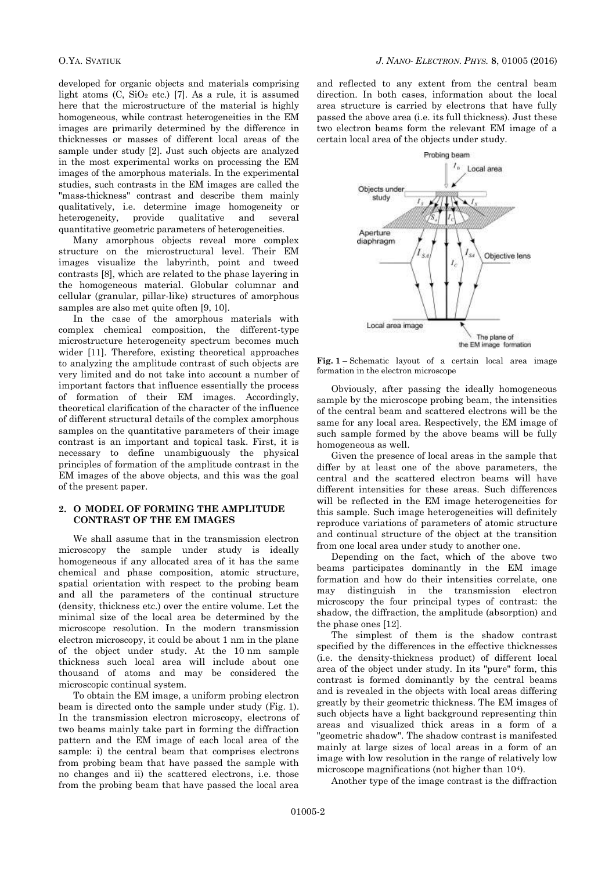developed for organic objects and materials comprising light atoms  $(C, SiO<sub>2</sub> etc.)$  [7]. As a rule, it is assumed here that the microstructure of the material is highly homogeneous, while contrast heterogeneities in the EM images are primarily determined by the difference in thicknesses or masses of different local areas of the sample under study [2]. Just such objects are analyzed in the most experimental works on processing the EM images of the amorphous materials. In the experimental studies, such contrasts in the EM images are called the "mass-thickness" contrast and describe them mainly qualitatively, i.e. determine image homogeneity or heterogeneity, provide qualitative and several quantitative geometric parameters of heterogeneities.

Many amorphous objects reveal more complex structure on the microstructural level. Their EM images visualize the labyrinth, point and tweed contrasts [8], which are related to the phase layering in the homogeneous material. Globular columnar and cellular (granular, pillar-like) structures of amorphous samples are also met quite often [9, 10].

In the case of the amorphous materials with complex chemical composition, the different-type microstructure heterogeneity spectrum becomes much wider [11]. Therefore, existing theoretical approaches to analyzing the amplitude contrast of such objects are very limited and do not take into account a number of important factors that influence essentially the process of formation of their EM images. Accordingly, theoretical clarification of the character of the influence of different structural details of the complex amorphous samples on the quantitative parameters of their image contrast is an important and topical task. First, it is necessary to define unambiguously the physical principles of formation of the amplitude contrast in the EM images of the above objects, and this was the goal of the present paper.

# **2. О MODEL OF FORMING THE AMPLITUDE CONTRAST OF THE EM IMAGES**

We shall assume that in the transmission electron microscopy the sample under study is ideally homogeneous if any allocated area of it has the same chemical and phase composition, atomic structure, spatial orientation with respect to the probing beam and all the parameters of the continual structure (density, thickness etc.) over the entire volume. Let the minimal size of the local area be determined by the microscope resolution. In the modern transmission electron microscopy, it could be about 1 nm in the plane of the object under study. At the 10 nm sample thickness such local area will include about one thousand of atoms and may be considered the microscopic continual system.

To obtain the EM image, a uniform probing electron beam is directed onto the sample under study (Fig. 1). In the transmission electron microscopy, electrons of two beams mainly take part in forming the diffraction pattern and the EM image of each local area of the sample: i) the central beam that comprises electrons from probing beam that have passed the sample with no changes and ii) the scattered electrons, i.e. those from the probing beam that have passed the local area and reflected to any extent from the central beam direction. In both cases, information about the local area structure is carried by electrons that have fully passed the above area (i.e. its full thickness). Just these two electron beams form the relevant EM image of a certain local area of the objects under study.



**Fig. 1** – Schematic layout of a certain local area image formation in the electron microscope

Obviously, after passing the ideally homogeneous sample by the microscope probing beam, the intensities of the central beam and scattered electrons will be the same for any local area. Respectively, the EM image of such sample formed by the above beams will be fully homogeneous as well.

Given the presence of local areas in the sample that differ by at least one of the above parameters, the central and the scattered electron beams will have different intensities for these areas. Such differences will be reflected in the EM image heterogeneities for this sample. Such image heterogeneities will definitely reproduce variations of parameters of atomic structure and continual structure of the object at the transition from one local area under study to another one.

Depending on the fact, which of the above two beams participates dominantly in the EM image formation and how do their intensities correlate, one may distinguish in the transmission electron microscopy the four principal types of contrast: the shadow, the diffraction, the amplitude (absorption) and the phase ones [12].

The simplest of them is the shadow contrast specified by the differences in the effective thicknesses (i.e. the density-thickness product) of different local area of the object under study. In its "pure" form, this contrast is formed dominantly by the central beams and is revealed in the objects with local areas differing greatly by their geometric thickness. The EM images of such objects have a light background representing thin areas and visualized thick areas in a form of a "geometric shadow". The shadow contrast is manifested mainly at large sizes of local areas in a form of an image with low resolution in the range of relatively low microscope magnifications (not higher than 10<sup>4</sup>).

Another type of the image contrast is the diffraction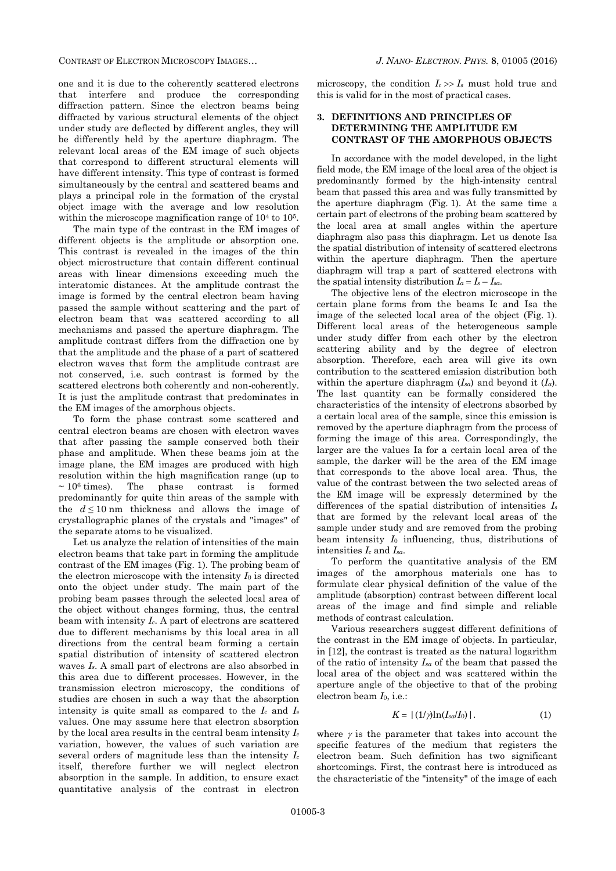CONTRAST OF ELECTRON MICROSCOPY IMAGES… *J. NANO- ELECTRON. PHYS.* **[8](#page-0-2)**, [01005](#page-0-2) [\(2016\)](#page-0-2)

one and it is due to the coherently scattered electrons that interfere and produce the corresponding diffraction pattern. Since the electron beams being diffracted by various structural elements of the object under study are deflected by different angles, they will be differently held by the aperture diaphragm. The relevant local areas of the EM image of such objects that correspond to different structural elements will have different intensity. This type of contrast is formed simultaneously by the central and scattered beams and plays a principal role in the formation of the crystal object image with the average and low resolution within the microscope magnification range of  $10<sup>4</sup>$  to  $10<sup>5</sup>$ .

The main type of the contrast in the EM images of different objects is the amplitude or absorption one. This contrast is revealed in the images of the thin object microstructure that contain different continual areas with linear dimensions exceeding much the interatomic distances. At the amplitude contrast the image is formed by the central electron beam having passed the sample without scattering and the part of electron beam that was scattered according to all mechanisms and passed the aperture diaphragm. The amplitude contrast differs from the diffraction one by that the amplitude and the phase of a part of scattered electron waves that form the amplitude contrast are not conserved, i.e. such contrast is formed by the scattered electrons both coherently and non-coherently. It is just the amplitude contrast that predominates in the EM images of the amorphous objects.

To form the phase contrast some scattered and central electron beams are chosen with electron waves that after passing the sample conserved both their phase and amplitude. When these beams join at the image plane, the EM images are produced with high resolution within the high magnification range (up to  $\sim 10^6$  times). The phase contrast is formed predominantly for quite thin areas of the sample with the  $d \leq 10$  nm thickness and allows the image of crystallographic planes of the crystals and "images" of the separate atoms to be visualized.

Let us analyze the relation of intensities of the main electron beams that take part in forming the amplitude contrast of the EM images (Fig. 1). The probing beam of the electron microscope with the intensity *І*<sup>0</sup> is directed onto the object under study. The main part of the probing beam passes through the selected local area of the object without changes forming, thus, the central beam with intensity *Іc*. A part of electrons are scattered due to different mechanisms by this local area in all directions from the central beam forming a certain spatial distribution of intensity of scattered electron waves *Іs*. A small part of electrons are also absorbed in this area due to different processes. However, in the transmission electron microscopy, the conditions of studies are chosen in such a way that the absorption intensity is quite small as compared to the  $I_c$  and  $I_s$ values. One may assume here that electron absorption by the local area results in the central beam intensity *І<sup>c</sup>* variation, however, the values of such variation are several orders of magnitude less than the intensity *І<sup>c</sup>* itself, therefore further we will neglect electron absorption in the sample. In addition, to ensure exact quantitative analysis of the contrast in electron

microscopy, the condition  $I_c \gg I_s$  must hold true and this is valid for in the most of practical cases.

## **3. DEFINITIONS AND PRINCIPLES OF DETERMINING THE AMPLITUDE EM CONTRAST OF THE AMORPHOUS OBJECTS**

In accordance with the model developed, in the light field mode, the EM image of the local area of the object is predominantly formed by the high-intensity central beam that passed this area and was fully transmitted by the aperture diaphragm (Fig. 1). At the same time a certain part of electrons of the probing beam scattered by the local area at small angles within the aperture diaphragm also pass this diaphragm. Let us denote Іsа the spatial distribution of intensity of scattered electrons within the aperture diaphragm. Then the aperture diaphragm will trap a part of scattered electrons with the spatial intensity distribution  $I_a = I_s - I_{sa}$ .

The objective lens of the electron microscope in the certain plane forms from the beams Іс and Іsа the image of the selected local area of the object (Fig. 1). Different local areas of the heterogeneous sample under study differ from each other by the electron scattering ability and by the degree of electron absorption. Therefore, each area will give its own contribution to the scattered emission distribution both within the aperture diaphragm  $(I_{sa})$  and beyond it  $(I_a)$ . The last quantity can be formally considered the characteristics of the intensity of electrons absorbed by a certain local area of the sample, since this emission is removed by the aperture diaphragm from the process of forming the image of this area. Correspondingly, the larger are the values Іa for a certain local area of the sample, the darker will be the area of the EM image that corresponds to the above local area. Thus, the value of the contrast between the two selected areas of the EM image will be expressly determined by the differences of the spatial distribution of intensities *І<sup>s</sup>* that are formed by the relevant local areas of the sample under study and are removed from the probing beam intensity *І*<sup>0</sup> influencing, thus, distributions of intensities *І<sup>с</sup>* and *Іsа*.

To perform the quantitative analysis of the EM images of the amorphous materials one has to formulate clear physical definition of the value of the amplitude (absorption) contrast between different local areas of the image and find simple and reliable methods of contrast calculation.

Various researchers suggest different definitions of the contrast in the EM image of objects. In particular, in [12], the contrast is treated as the natural logarithm of the ratio of intensity *Іsа* of the beam that passed the local area of the object and was scattered within the aperture angle of the objective to that of the probing electron beam *І*0, i.e.:

$$
K = | (1/\gamma) \ln(I_{sa}/I_0) |.
$$
 (1)

where  $\gamma$  is the parameter that takes into account the specific features of the medium that registers the electron beam. Such definition has two significant shortcomings. First, the contrast here is introduced as the characteristic of the "intensity" of the image of each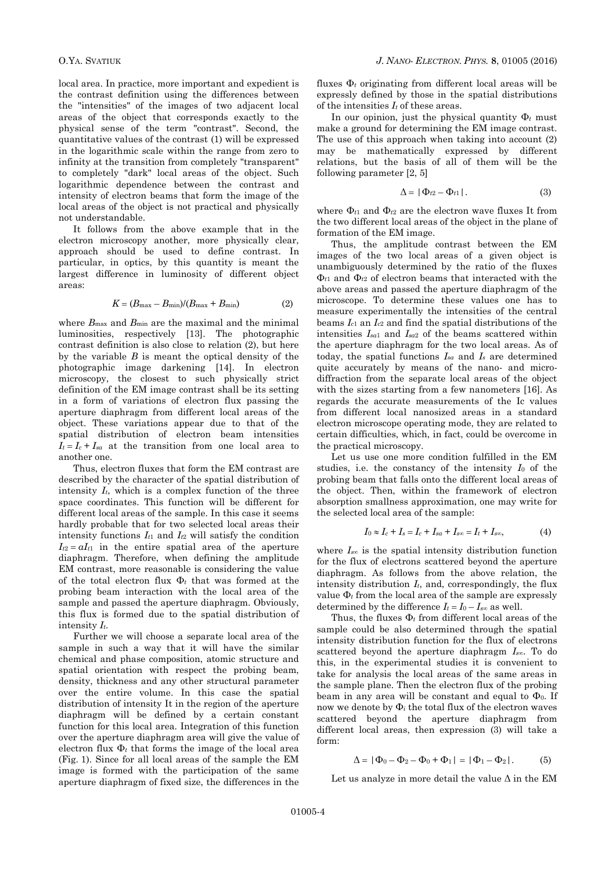local area. In practice, more important and expedient is the contrast definition using the differences between the "intensities" of the images of two adjacent local areas of the object that corresponds exactly to the physical sense of the term "contrast". Second, the quantitative values of the contrast (1) will be expressed in the logarithmic scale within the range from zero to infinity at the transition from completely "transparent" to completely "dark" local areas of the object. Such logarithmic dependence between the contrast and intensity of electron beams that form the image of the local areas of the object is not practical and physically not understandable.

It follows from the above example that in the electron microscopy another, more physically clear, approach should be used to define contrast. In particular, in optics, by this quantity is meant the largest difference in luminosity of different object areas:

$$
K = (B_{\text{max}} - B_{\text{min}})/(B_{\text{max}} + B_{\text{min}})
$$
 (2)

where  $B_{\text{max}}$  and  $B_{\text{min}}$  are the maximal and the minimal luminosities, respectively [13]. The photographic contrast definition is also close to relation (2), but here by the variable *В* is meant the optical density of the photographic image darkening [14]. In electron microscopy, the closest to such physically strict definition of the EM image contrast shall be its setting in a form of variations of electron flux passing the aperture diaphragm from different local areas of the object. These variations appear due to that of the spatial distribution of electron beam intensities  $I_t = I_c + I_{sa}$  at the transition from one local area to another one.

Thus, electron fluxes that form the EM contrast are described by the character of the spatial distribution of intensity  $I_t$ , which is a complex function of the three space coordinates. This function will be different for different local areas of the sample. In this case it seems hardly probable that for two selected local areas their intensity functions *Іt*<sup>1</sup> and *Іt*<sup>2</sup> will satisfy the condition  $I_{t2} = aI_{t1}$  in the entire spatial area of the aperture diaphragm. Therefore, when defining the amplitude EM contrast, more reasonable is considering the value of the total electron flux Φ*<sup>t</sup>* that was formed at the probing beam interaction with the local area of the sample and passed the aperture diaphragm. Obviously, this flux is formed due to the spatial distribution of intensity *Іt*.

Further we will choose a separate local area of the sample in such a way that it will have the similar chemical and phase composition, atomic structure and spatial orientation with respect the probing beam, density, thickness and any other structural parameter over the entire volume. In this case the spatial distribution of intensity Іt in the region of the aperture diaphragm will be defined by a certain constant function for this local area. Integration of this function over the aperture diaphragm area will give the value of electron flux  $\Phi_t$  that forms the image of the local area (Fig. 1). Since for all local areas of the sample the EM image is formed with the participation of the same aperture diaphragm of fixed size, the differences in the fluxes Φ*<sup>t</sup>* originating from different local areas will be expressly defined by those in the spatial distributions of the intensities *І<sup>t</sup>* of these areas.

In our opinion, just the physical quantity Φ*<sup>t</sup>* must make a ground for determining the EM image contrast. The use of this approach when taking into account (2) may be mathematically expressed by different relations, but the basis of all of them will be the following parameter [2, 5]

$$
\Delta = |\Phi_{t2} - \Phi_{t1}|. \tag{3}
$$

where  $\Phi_{t1}$  and  $\Phi_{t2}$  are the electron wave fluxes It from the two different local areas of the object in the plane of formation of the EM image.

Thus, the amplitude contrast between the EM images of the two local areas of a given object is unambiguously determined by the ratio of the fluxes Φ*t*<sup>1</sup> and Φ*t*<sup>2</sup> of electron beams that interacted with the above areas and passed the aperture diaphragm of the microscope. To determine these values one has to measure experimentally the intensities of the central beams *Iс*<sup>1</sup> an *Iс*<sup>2</sup> and find the spatial distributions of the intensities *Isa*<sup>1</sup> and *Isa*<sup>2</sup> of the beams scattered within the aperture diaphragm for the two local areas. As of today, the spatial functions  $I_{sa}$  and  $I_s$  are determined quite accurately by means of the nano- and microdiffraction from the separate local areas of the object with the sizes starting from a few nanometers [16]. As regards the accurate measurements of the Iс values from different local nanosized areas in a standard electron microscope operating mode, they are related to certain difficulties, which, in fact, could be overcome in the practical microscopy.

Let us use one more condition fulfilled in the EM studies, i.e. the constancy of the intensity *I*<sup>0</sup> of the probing beam that falls onto the different local areas of the object. Then, within the framework of electron absorption smallness approximation, one may write for the selected local area of the sample:

$$
I_0 \approx I_c + I_s = I_c + I_{sa} + I_{s\infty} = I_t + I_{s\infty},\tag{4}
$$

where  $I_{s\infty}$  is the spatial intensity distribution function for the flux of electrons scattered beyond the aperture diaphragm. As follows from the above relation, the intensity distribution  $I_t$ , and, correspondingly, the flux value  $\Phi_t$  from the local area of the sample are expressly determined by the difference  $I_t = I_0 - I_{s\infty}$  as well.

Thus, the fluxes Φ*<sup>t</sup>* from different local areas of the sample could be also determined through the spatial intensity distribution function for the flux of electrons scattered beyond the aperture diaphragm *Is*∞. To do this, in the experimental studies it is convenient to take for analysis the local areas of the same areas in the sample plane. Then the electron flux of the probing beam in any area will be constant and equal to  $\Phi_0$ . If now we denote by Φ*<sup>і</sup>* the total flux of the electron waves scattered beyond the aperture diaphragm from different local areas, then expression (3) will take a form:

$$
\Delta = |\Phi_0 - \Phi_2 - \Phi_0 + \Phi_1| = |\Phi_1 - \Phi_2|.
$$
 (5)

Let us analyze in more detail the value  $\Delta$  in the EM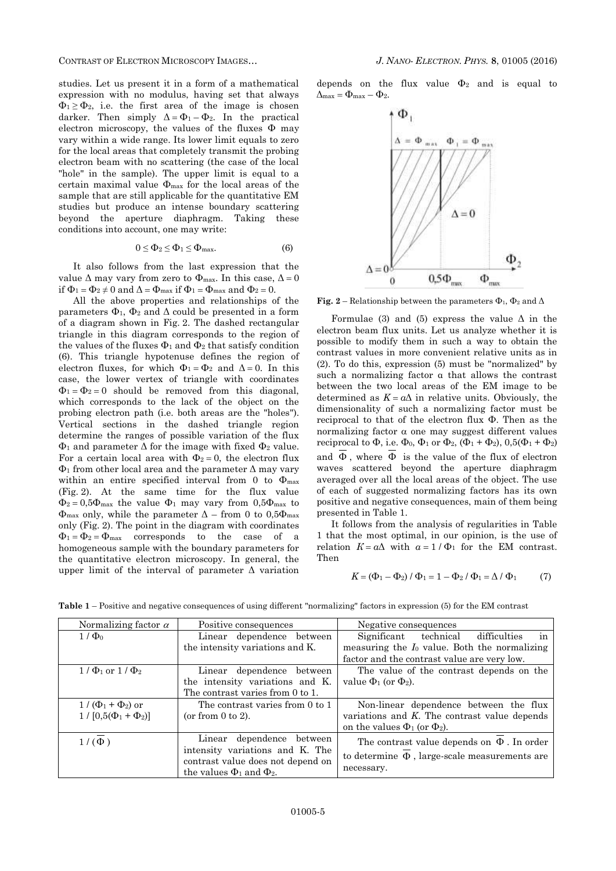CONTRAST OF ELECTRON MICROSCOPY IMAGES… *J. NANO- ELECTRON. PHYS.* **[8](#page-0-2)**, [01005](#page-0-2) [\(2016\)](#page-0-2)

studies. Let us present it in a form of a mathematical expression with no modulus, having set that always  $\Phi_1 \ge \Phi_2$ , i.e. the first area of the image is chosen darker. Then simply  $\Delta = \Phi_1 - \Phi_2$ . In the practical electron microscopy, the values of the fluxes Φ may vary within a wide range. Its lower limit equals to zero for the local areas that completely transmit the probing electron beam with no scattering (the case of the local "hole" in the sample). The upper limit is equal to a certain maximal value Φmax for the local areas of the sample that are still applicable for the quantitative EM studies but produce an intense boundary scattering beyond the aperture diaphragm. Taking these conditions into account, one may write:

$$
0 \le \Phi_2 \le \Phi_1 \le \Phi_{\text{max}}.\tag{6}
$$

It also follows from the last expression that the value  $\Delta$  may vary from zero to  $\Phi_{\text{max}}$ . In this case,  $\Delta = 0$ if  $\Phi_1 = \Phi_2 \neq 0$  and  $\Delta = \Phi_{\text{max}}$  if  $\Phi_1 = \Phi_{\text{max}}$  and  $\Phi_2 = 0$ .

All the above properties and relationships of the parameters  $\Phi_1$ ,  $\Phi_2$  and  $\Delta$  could be presented in a form of a diagram shown in Fig. 2. The dashed rectangular triangle in this diagram corresponds to the region of the values of the fluxes  $\Phi_1$  and  $\Phi_2$  that satisfy condition (6). This triangle hypotenuse defines the region of electron fluxes, for which  $\Phi_1 = \Phi_2$  and  $\Delta = 0$ . In this case, the lower vertex of triangle with coordinates  $\Phi_1 = \Phi_2 = 0$  should be removed from this diagonal, which corresponds to the lack of the object on the probing electron path (i.e. both areas are the "holes"). Vertical sections in the dashed triangle region determine the ranges of possible variation of the flux  $\Phi_1$  and parameter  $\Delta$  for the image with fixed  $\Phi_2$  value. For a certain local area with  $\Phi_2 = 0$ , the electron flux  $\Phi_1$  from other local area and the parameter  $\Delta$  may vary within an entire specified interval from 0 to Φmax (Fig. 2). At the same time for the flux value  $\Phi_2 = 0.5\Phi_{\text{max}}$  the value  $\Phi_1$  may vary from  $0.5\Phi_{\text{max}}$  to  $\Phi_{\text{max}}$  only, while the parameter  $\Delta$  – from 0 to 0,5 $\Phi_{\text{max}}$ only (Fig. 2). The point in the diagram with coordinates  $\Phi_1 = \Phi_2 = \Phi_{\text{max}}$  corresponds to the case of a homogeneous sample with the boundary parameters for the quantitative electron microscopy. In general, the upper limit of the interval of parameter  $\Delta$  variation

depends on the flux value  $\Phi_2$  and is equal to  $\Delta_{\text{max}} = \Phi_{\text{max}} - \Phi_2.$ 



**Fig.** 2 – Relationship between the parameters  $\Phi_1$ ,  $\Phi_2$  and  $\Delta$ 

Formulae (3) and (5) express the value  $\Delta$  in the electron beam flux units. Let us analyze whether it is possible to modify them in such a way to obtain the contrast values in more convenient relative units as in (2). To do this, expression (5) must be "normalized" by such a normalizing factor α that allows the contrast between the two local areas of the EM image to be determined as  $K = a\Delta$  in relative units. Obviously, the dimensionality of such a normalizing factor must be reciprocal to that of the electron flux Φ. Then as the normalizing factor  $\alpha$  one may suggest different values reciprocal to  $\Phi$ , i.e.  $\Phi_0$ ,  $\Phi_1$  or  $\Phi_2$ ,  $(\Phi_1 + \Phi_2)$ ,  $0,5(\Phi_1 + \Phi_2)$ and  $\Phi$ , where  $\Phi$  is the value of the flux of electron waves scattered beyond the aperture diaphragm averaged over all the local areas of the object. The use of each of suggested normalizing factors has its own positive and negative consequences, main of them being presented in Table 1.

It follows from the analysis of regularities in Table 1 that the most optimal, in our opinion, is the use of relation  $K = a\Delta$  with  $a = 1/\Phi_1$  for the EM contrast. Then

$$
K = (\Phi_1 - \Phi_2) / \Phi_1 = 1 - \Phi_2 / \Phi_1 = \Delta / \Phi_1 \tag{7}
$$

**Table 1** – Positive and negative consequences of using different "normalizing" factors in expression (5) for the EM contrast

| Normalizing factor $\alpha$                          | Positive consequences                                                                                                                   | Negative consequences                                                                                                                      |
|------------------------------------------------------|-----------------------------------------------------------------------------------------------------------------------------------------|--------------------------------------------------------------------------------------------------------------------------------------------|
| $1/\Phi_0$                                           | Linear dependence between<br>the intensity variations and K.                                                                            | Significant technical difficulties<br>in<br>measuring the $I_0$ value. Both the normalizing<br>factor and the contrast value are very low. |
| $1/\Phi_1$ or $1/\Phi_2$                             | Linear dependence between<br>the intensity variations and K.<br>The contrast varies from 0 to 1.                                        | The value of the contrast depends on the<br>value $\Phi_1$ (or $\Phi_2$ ).                                                                 |
| $1/(\Phi_1 + \Phi_2)$ or<br>$1/[0,5(\Phi_1+\Phi_2)]$ | The contrast varies from 0 to 1<br>(or from $0$ to $2$ ).                                                                               | Non-linear dependence between the flux<br>variations and $K$ . The contrast value depends<br>on the values $\Phi_1$ (or $\Phi_2$ ).        |
| $1/(\Phi)$                                           | Linear dependence between<br>intensity variations and K. The<br>contrast value does not depend on<br>the values $\Phi_1$ and $\Phi_2$ . | The contrast value depends on $\Phi$ . In order<br>to determine $\Phi$ , large-scale measurements are<br>necessary.                        |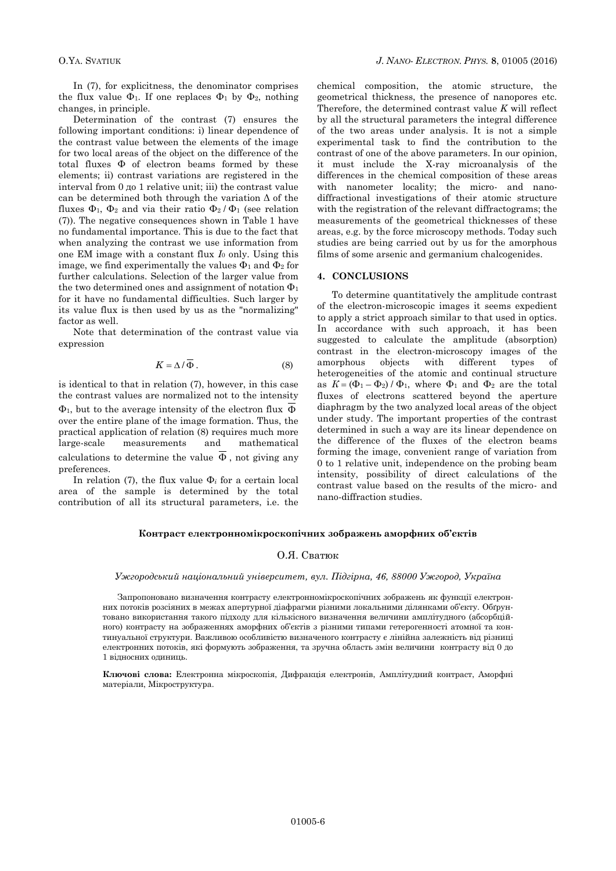In (7), for explicitness, the denominator comprises the flux value  $\Phi_1$ . If one replaces  $\Phi_1$  by  $\Phi_2$ , nothing changes, in principle.

Determination of the contrast (7) ensures the following important conditions: i) linear dependence of the contrast value between the elements of the image for two local areas of the object on the difference of the total fluxes Φ of electron beams formed by these elements; ii) contrast variations are registered in the interval from 0 до 1 relative unit; iii) the contrast value can be determined both through the variation  $\Delta$  of the fluxes  $\Phi_1$ ,  $\Phi_2$  and via their ratio  $\Phi_2/\Phi_1$  (see relation (7)). The negative consequences shown in Table 1 have no fundamental importance. This is due to the fact that when analyzing the contrast we use information from one EM image with a constant flux *І*<sup>0</sup> only. Using this image, we find experimentally the values  $\Phi_1$  and  $\Phi_2$  for further calculations. Selection of the larger value from the two determined ones and assignment of notation  $\Phi_1$ for it have no fundamental difficulties. Such larger by its value flux is then used by us as the "normalizing" factor as well.

Note that determination of the contrast value via expression

$$
K = \Delta / \Phi . \tag{8}
$$

is identical to that in relation (7), however, in this case the contrast values are normalized not to the intensity  $\Phi_1$ , but to the average intensity of the electron flux  $\Phi$ over the entire plane of the image formation. Thus, the practical application of relation (8) requires much more large-scale measurements and mathematical calculations to determine the value  $\Phi$ , not giving any preferences.

In relation (7), the flux value Φ*<sup>і</sup>* for a certain local area of the sample is determined by the total contribution of all its structural parameters, i.e. the

chemical composition, the atomic structure, the geometrical thickness, the presence of nanopores etc. Therefore, the determined contrast value *K* will reflect by all the structural parameters the integral difference of the two areas under analysis. It is not a simple experimental task to find the contribution to the contrast of one of the above parameters. In our opinion, it must include the X-ray microanalysis of the differences in the chemical composition of these areas with nanometer locality; the micro- and nanodiffractional investigations of their atomic structure with the registration of the relevant diffractograms; the measurements of the geometrical thicknesses of these areas, e.g. by the force microscopy methods. Today such studies are being carried out by us for the amorphous films of some arsenic and germanium chalcogenides.

### **4. CONCLUSIONS**

To determine quantitatively the amplitude contrast of the electron-microscopic images it seems expedient to apply a strict approach similar to that used in optics. In accordance with such approach, it has been suggested to calculate the amplitude (absorption) contrast in the electron-microscopy images of the amorphous objects with different types of heterogeneities of the atomic and continual structure as  $K = (\Phi_1 - \Phi_2) / \Phi_1$ , where  $\Phi_1$  and  $\Phi_2$  are the total fluxes of electrons scattered beyond the aperture diaphragm by the two analyzed local areas of the object under study. The important properties of the contrast determined in such a way are its linear dependence on the difference of the fluxes of the electron beams forming the image, convenient range of variation from 0 to 1 relative unit, independence on the probing beam intensity, possibility of direct calculations of the contrast value based on the results of the micro- and nano-diffraction studies.

#### **Контраст електронномікроскопічних зображень аморфних об'єктів**

### О.Я. Сватюк

#### *Ужгородський національний університет, вул. Підгірна, 46, 88000 Ужгород, Україна*

Запропоновано визначення контрасту електронномікроскопічних зображень як функції електронних потоків розсіяних в межах апертурної діафрагми різними локальними ділянками об'єкту. Обґрунтовано використання такого підходу для кількісного визначення величини амплітудного (абсорбційного) контрасту на зображеннях аморфних об'єктів з різними типами гетерогенності атомної та континуальної структури. Важливою особливістю визначеного контрасту є лінійна залежність від різниці електронних потоків, які формують зображення, та зручна область змін величини контрасту від 0 до 1 відносних одиниць.

**Ключові слова:** Електронна мікроскопія, Дифракція електронів, Амплітудний контраст, Аморфні матеріали, Мікроструктура.